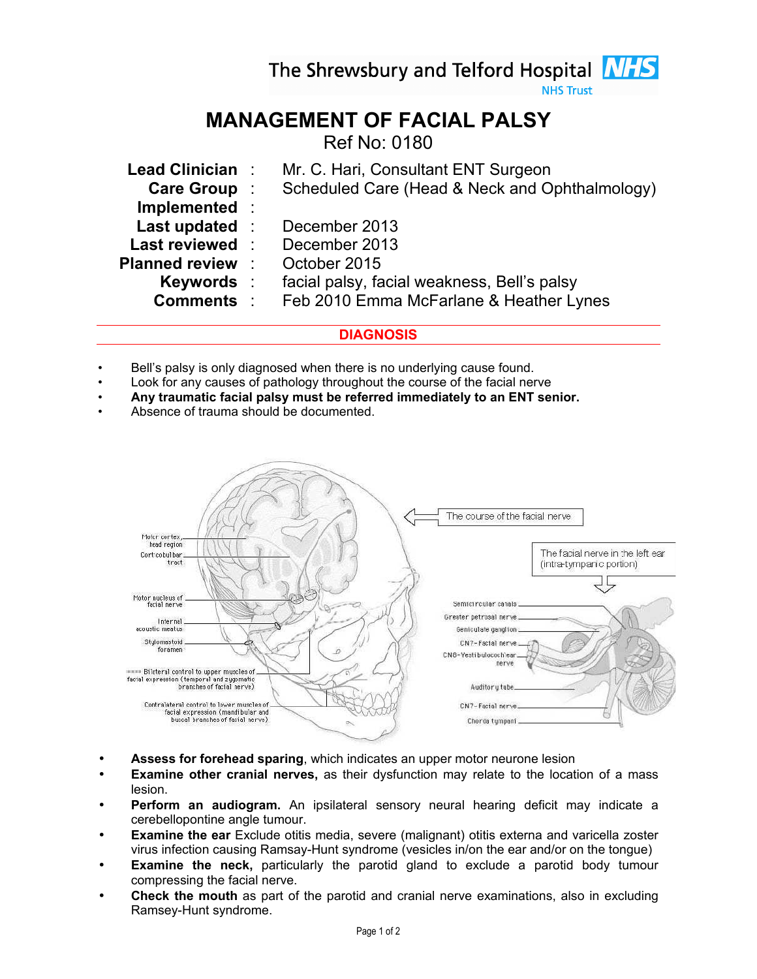The Shrewsbury and Telford Hospital **NHS** 

**NHS Trust** 

# MANAGEMENT OF FACIAL PALSY

Ref No: 0180

| Lead Clinician:         | Mr. C. Hari, Consultant ENT Surgeon            |
|-------------------------|------------------------------------------------|
| Care Group:             | Scheduled Care (Head & Neck and Ophthalmology) |
| Implemented :           |                                                |
| Last updated :          | December 2013                                  |
| Last reviewed :         | December 2013                                  |
| <b>Planned review :</b> | October 2015                                   |
| Keywords :              | facial palsy, facial weakness, Bell's palsy    |
| <b>Comments</b> :       | Feb 2010 Emma McFarlane & Heather Lynes        |
|                         |                                                |

# **DIAGNOSIS**

- Bell's palsy is only diagnosed when there is no underlying cause found.
- Look for any causes of pathology throughout the course of the facial nerve
- Any traumatic facial palsy must be referred immediately to an ENT senior.
- Absence of trauma should be documented.



- **Assess for forehead sparing, which indicates an upper motor neurone lesion**
- **Examine other cranial nerves,** as their dysfunction may relate to the location of a mass lesion.
- Perform an audiogram. An ipsilateral sensory neural hearing deficit may indicate a cerebellopontine angle tumour.
- **Examine the ear** Exclude otitis media, severe (malignant) otitis externa and varicella zoster virus infection causing Ramsay-Hunt syndrome (vesicles in/on the ear and/or on the tongue)
- **Examine the neck,** particularly the parotid gland to exclude a parotid body tumour compressing the facial nerve.
- Check the mouth as part of the parotid and cranial nerve examinations, also in excluding Ramsey-Hunt syndrome.